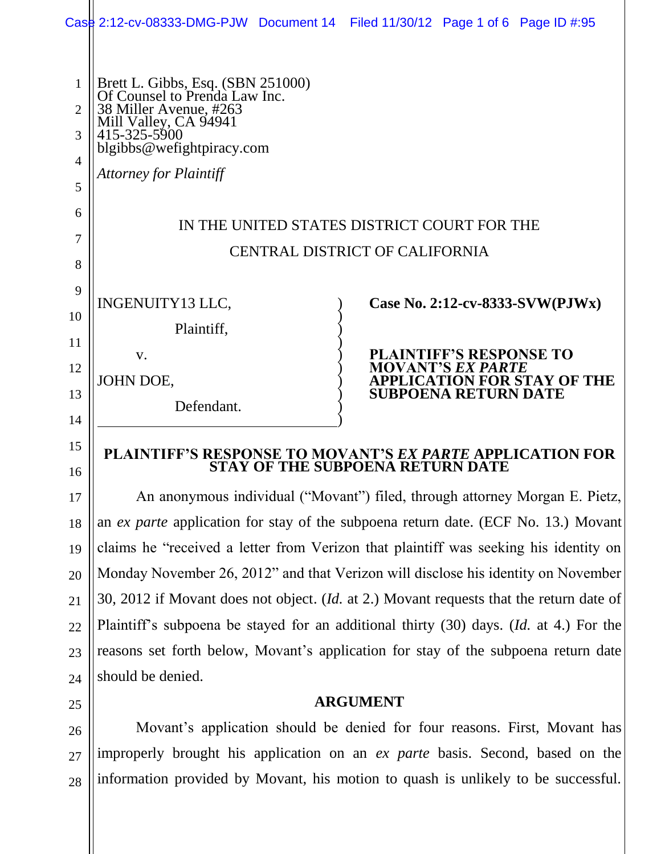| 14<br>15       |                                                                                |                                             |                                                            |                                    |
|----------------|--------------------------------------------------------------------------------|---------------------------------------------|------------------------------------------------------------|------------------------------------|
| 13             | Defendant.                                                                     |                                             | <b>SUBPOENA RETURN DATE</b>                                |                                    |
|                | JOHN DOE,                                                                      |                                             |                                                            | <b>APPLICATION FOR STAY OF THE</b> |
| 12             | V.                                                                             |                                             | <b>PLAINTIFF'S RESPONSE TO</b><br><b>MOVANT'S EX PARTE</b> |                                    |
| 11             | Plaintiff,                                                                     |                                             |                                                            |                                    |
| 10             |                                                                                |                                             |                                                            |                                    |
| 9              | INGENUITY13 LLC,                                                               |                                             |                                                            | Case No. 2:12-cv-8333-SVW(PJWx)    |
| 8              |                                                                                |                                             |                                                            |                                    |
| 7              |                                                                                | <b>CENTRAL DISTRICT OF CALIFORNIA</b>       |                                                            |                                    |
|                |                                                                                | IN THE UNITED STATES DISTRICT COURT FOR THE |                                                            |                                    |
| 6              |                                                                                |                                             |                                                            |                                    |
| 5              | <b>Attorney for Plaintiff</b>                                                  |                                             |                                                            |                                    |
| 4              | blgibbs@wefightpiracy.com                                                      |                                             |                                                            |                                    |
| 3              | Mill Valley, CA 94941<br>415-325-5900                                          |                                             |                                                            |                                    |
| $\overline{2}$ | 38 Miller Avenue, #263                                                         |                                             |                                                            |                                    |
| 1              | Brett L. Gibbs, Esq. (SBN 251000)<br>Of Counsel to Prenda Law Inc.             |                                             |                                                            |                                    |
|                | Case 2:12-cv-08333-DMG-PJW Document 14 Filed 11/30/12 Page 1 of 6 Page ID #:95 |                                             |                                                            |                                    |
|                |                                                                                |                                             |                                                            |                                    |

**STAY OF THE SUBPOENA RETURN DATE**

An anonymous individual ("Movant") filed, through attorney Morgan E. Pietz, an *ex parte* application for stay of the subpoena return date. (ECF No. 13.) Movant claims he "received a letter from Verizon that plaintiff was seeking his identity on Monday November 26, 2012" and that Verizon will disclose his identity on November 30, 2012 if Movant does not object. (*Id.* at 2.) Movant requests that the return date of Plaintiff's subpoena be stayed for an additional thirty (30) days. (*Id.* at 4.) For the reasons set forth below, Movant's application for stay of the subpoena return date should be denied.

16

17

18

19

20

21

22

23

24

25

**ARGUMENT**

26 27 28 Movant's application should be denied for four reasons. First, Movant has improperly brought his application on an *ex parte* basis. Second, based on the information provided by Movant, his motion to quash is unlikely to be successful.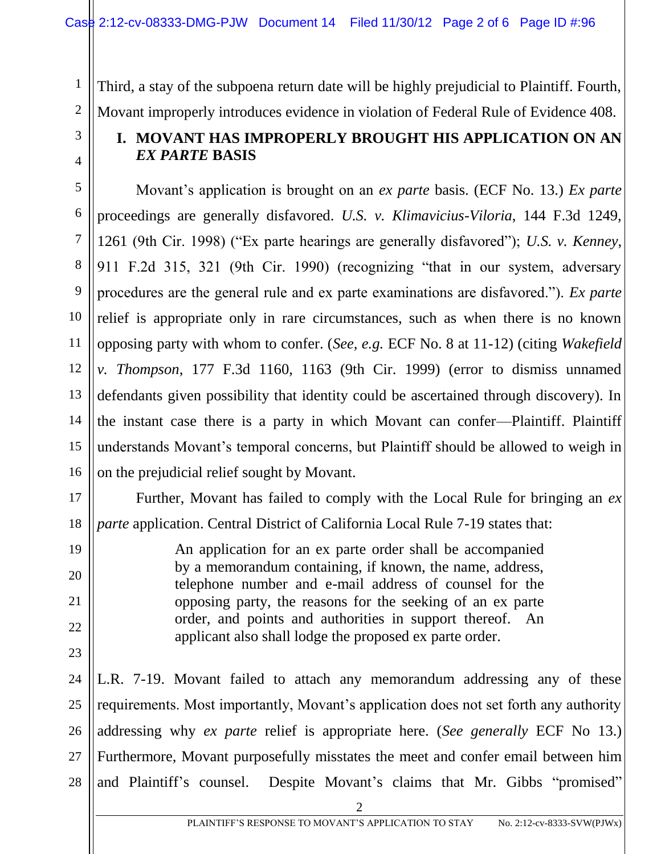Third, a stay of the subpoena return date will be highly prejudicial to Plaintiff. Fourth, Movant improperly introduces evidence in violation of Federal Rule of Evidence 408.

## **I. MOVANT HAS IMPROPERLY BROUGHT HIS APPLICATION ON AN**  *EX PARTE* **BASIS**

Movant's application is brought on an *ex parte* basis. (ECF No. 13.) *Ex parte* proceedings are generally disfavored. *U.S. v. Klimavicius-Viloria*, 144 F.3d 1249, 1261 (9th Cir. 1998) ("Ex parte hearings are generally disfavored"); *U.S. v. Kenney*, 911 F.2d 315, 321 (9th Cir. 1990) (recognizing "that in our system, adversary procedures are the general rule and ex parte examinations are disfavored."). *Ex parte* relief is appropriate only in rare circumstances, such as when there is no known opposing party with whom to confer. (*See, e.g.* ECF No. 8 at 11-12) (citing *Wakefield v. Thompson*, 177 F.3d 1160, 1163 (9th Cir. 1999) (error to dismiss unnamed defendants given possibility that identity could be ascertained through discovery). In the instant case there is a party in which Movant can confer—Plaintiff. Plaintiff understands Movant's temporal concerns, but Plaintiff should be allowed to weigh in on the prejudicial relief sought by Movant.

Further, Movant has failed to comply with the Local Rule for bringing an *ex parte* application. Central District of California Local Rule 7-19 states that:

> An application for an ex parte order shall be accompanied by a memorandum containing, if known, the name, address, telephone number and e-mail address of counsel for the opposing party, the reasons for the seeking of an ex parte order, and points and authorities in support thereof. An applicant also shall lodge the proposed ex parte order.

27 28 L.R. 7-19. Movant failed to attach any memorandum addressing any of these requirements. Most importantly, Movant's application does not set forth any authority addressing why *ex parte* relief is appropriate here. (*See generally* ECF No 13.) Furthermore, Movant purposefully misstates the meet and confer email between him and Plaintiff's counsel. Despite Movant's claims that Mr. Gibbs "promised"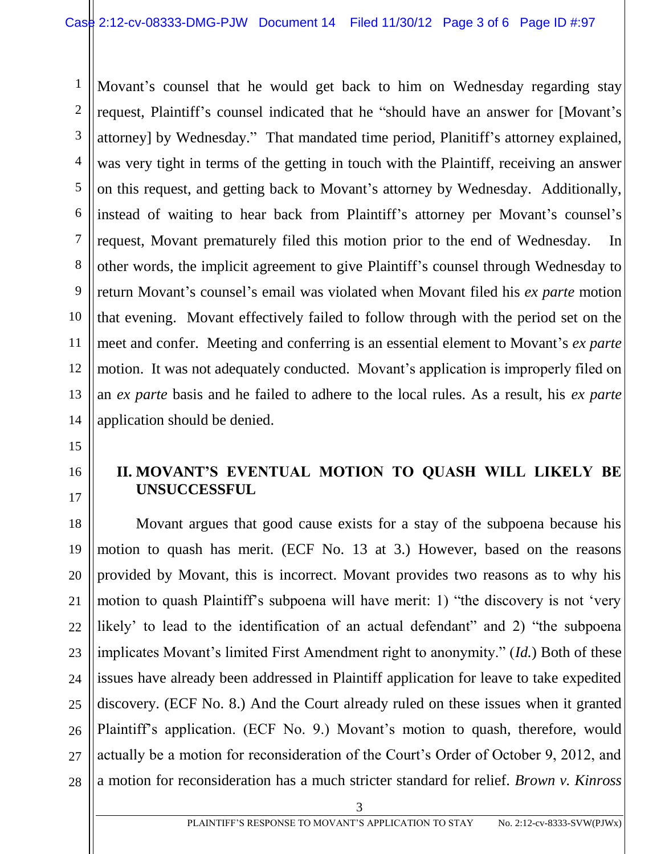1 2 3 4 5 6 7 8 9 10 11 12 13 14 Movant's counsel that he would get back to him on Wednesday regarding stay request, Plaintiff's counsel indicated that he "should have an answer for [Movant's attorney] by Wednesday." That mandated time period, Planitiff's attorney explained, was very tight in terms of the getting in touch with the Plaintiff, receiving an answer on this request, and getting back to Movant's attorney by Wednesday. Additionally, instead of waiting to hear back from Plaintiff's attorney per Movant's counsel's request, Movant prematurely filed this motion prior to the end of Wednesday. In other words, the implicit agreement to give Plaintiff's counsel through Wednesday to return Movant's counsel's email was violated when Movant filed his *ex parte* motion that evening. Movant effectively failed to follow through with the period set on the meet and confer. Meeting and conferring is an essential element to Movant's *ex parte* motion. It was not adequately conducted. Movant's application is improperly filed on an *ex parte* basis and he failed to adhere to the local rules. As a result, his *ex parte* application should be denied.

15

# 16 17

### **II. MOVANT'S EVENTUAL MOTION TO QUASH WILL LIKELY BE UNSUCCESSFUL**

18 19 20 21 22 23 24 25 26 27 28 Movant argues that good cause exists for a stay of the subpoena because his motion to quash has merit. (ECF No. 13 at 3.) However, based on the reasons provided by Movant, this is incorrect. Movant provides two reasons as to why his motion to quash Plaintiff's subpoena will have merit: 1) "the discovery is not 'very likely' to lead to the identification of an actual defendant" and 2) "the subpoena implicates Movant's limited First Amendment right to anonymity." (*Id.*) Both of these issues have already been addressed in Plaintiff application for leave to take expedited discovery. (ECF No. 8.) And the Court already ruled on these issues when it granted Plaintiff's application. (ECF No. 9.) Movant's motion to quash, therefore, would actually be a motion for reconsideration of the Court's Order of October 9, 2012, and a motion for reconsideration has a much stricter standard for relief. *Brown v. Kinross*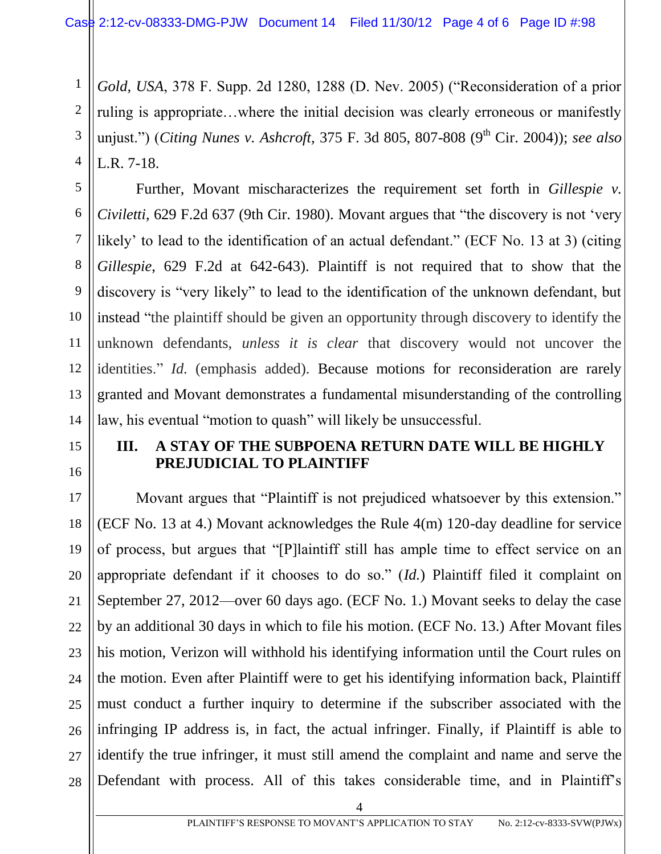*Gold, USA*, 378 F. Supp. 2d 1280, 1288 (D. Nev. 2005) ("Reconsideration of a prior ruling is appropriate…where the initial decision was clearly erroneous or manifestly unjust.") (*Citing Nunes v. Ashcroft, 375 F. 3d 805, 807-808 (9<sup>th</sup> Cir. 2004)); see also* L.R. 7-18.

Further, Movant mischaracterizes the requirement set forth in *Gillespie v. Civiletti*, 629 F.2d 637 (9th Cir. 1980). Movant argues that "the discovery is not 'very likely' to lead to the identification of an actual defendant." (ECF No. 13 at 3) (citing *Gillespie*, 629 F.2d at 642-643). Plaintiff is not required that to show that the discovery is "very likely" to lead to the identification of the unknown defendant, but instead "the plaintiff should be given an opportunity through discovery to identify the unknown defendants, *unless it is clear* that discovery would not uncover the identities." *Id.* (emphasis added). Because motions for reconsideration are rarely granted and Movant demonstrates a fundamental misunderstanding of the controlling law, his eventual "motion to quash" will likely be unsuccessful.

15 16

17

18

19

20

21

22

23

24

25

26

27

28

1

2

3

4

5

6

7

8

9

10

11

12

13

14

#### **III. A STAY OF THE SUBPOENA RETURN DATE WILL BE HIGHLY PREJUDICIAL TO PLAINTIFF**

Movant argues that "Plaintiff is not prejudiced whatsoever by this extension." (ECF No. 13 at 4.) Movant acknowledges the Rule 4(m) 120-day deadline for service of process, but argues that "[P]laintiff still has ample time to effect service on an appropriate defendant if it chooses to do so." (*Id.*) Plaintiff filed it complaint on September 27, 2012—over 60 days ago. (ECF No. 1.) Movant seeks to delay the case by an additional 30 days in which to file his motion. (ECF No. 13.) After Movant files his motion, Verizon will withhold his identifying information until the Court rules on the motion. Even after Plaintiff were to get his identifying information back, Plaintiff must conduct a further inquiry to determine if the subscriber associated with the infringing IP address is, in fact, the actual infringer. Finally, if Plaintiff is able to identify the true infringer, it must still amend the complaint and name and serve the Defendant with process. All of this takes considerable time, and in Plaintiff's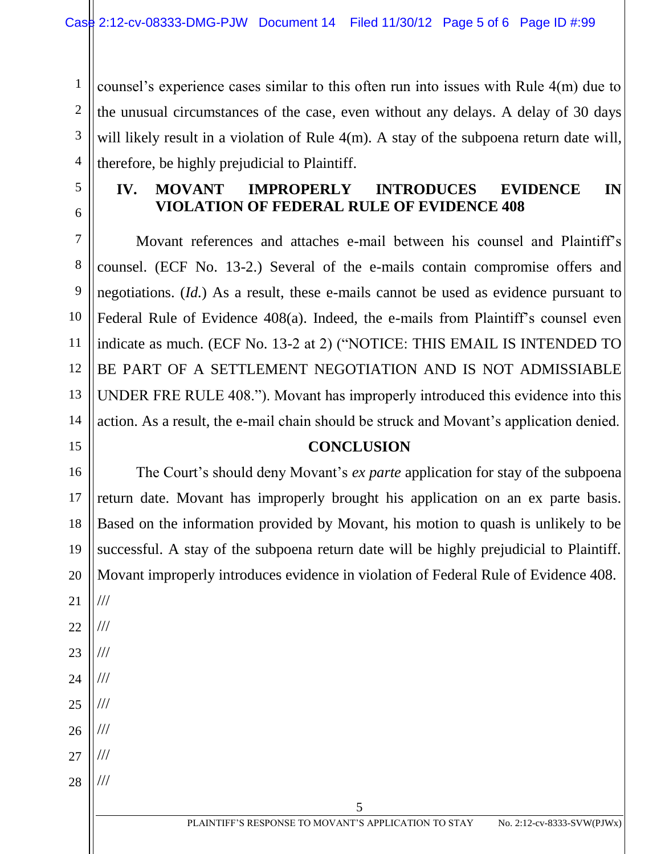counsel's experience cases similar to this often run into issues with Rule 4(m) due to the unusual circumstances of the case, even without any delays. A delay of 30 days will likely result in a violation of Rule 4(m). A stay of the subpoena return date will, therefore, be highly prejudicial to Plaintiff.

5

1

2

3

4

### **IV. MOVANT IMPROPERLY INTRODUCES EVIDENCE IN VIOLATION OF FEDERAL RULE OF EVIDENCE 408**

Movant references and attaches e-mail between his counsel and Plaintiff's counsel. (ECF No. 13-2.) Several of the e-mails contain compromise offers and negotiations. (*Id.*) As a result, these e-mails cannot be used as evidence pursuant to Federal Rule of Evidence 408(a). Indeed, the e-mails from Plaintiff's counsel even indicate as much. (ECF No. 13-2 at 2) ("NOTICE: THIS EMAIL IS INTENDED TO BE PART OF A SETTLEMENT NEGOTIATION AND IS NOT ADMISSIABLE UNDER FRE RULE 408."). Movant has improperly introduced this evidence into this action. As a result, the e-mail chain should be struck and Movant's application denied.

#### **CONCLUSION**

The Court's should deny Movant's *ex parte* application for stay of the subpoena return date. Movant has improperly brought his application on an ex parte basis. Based on the information provided by Movant, his motion to quash is unlikely to be successful. A stay of the subpoena return date will be highly prejudicial to Plaintiff. Movant improperly introduces evidence in violation of Federal Rule of Evidence 408.

///

///

///

///

///

///

///

///